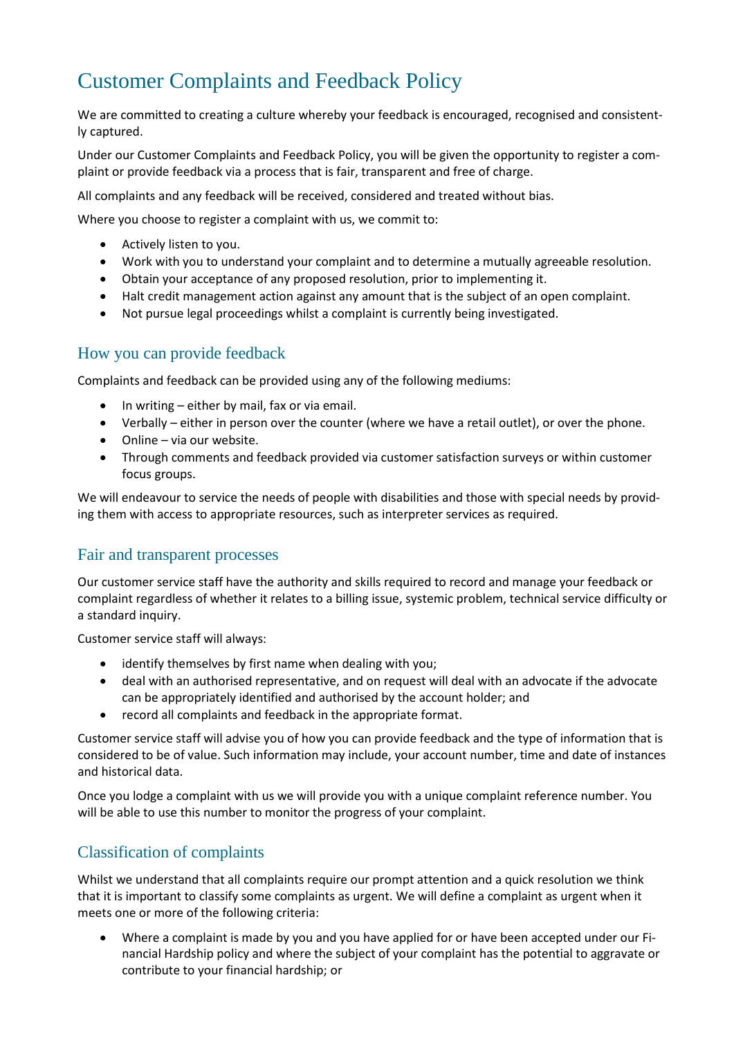# Customer Complaints and Feedback Policy

We are committed to creating a culture whereby your feedback is encouraged, recognised and consistently captured.

Under our Customer Complaints and Feedback Policy, you will be given the opportunity to register a complaint or provide feedback via a process that is fair, transparent and free of charge.

All complaints and any feedback will be received, considered and treated without bias.

Where you choose to register a complaint with us, we commit to:

- Actively listen to you.
- Work with you to understand your complaint and to determine a mutually agreeable resolution.
- Obtain your acceptance of any proposed resolution, prior to implementing it.
- Halt credit management action against any amount that is the subject of an open complaint.
- Not pursue legal proceedings whilst a complaint is currently being investigated.

## How you can provide feedback

Complaints and feedback can be provided using any of the following mediums:

- In writing either by mail, fax or via email.
- Verbally either in person over the counter (where we have a retail outlet), or over the phone.
- Online via our website.
- Through comments and feedback provided via customer satisfaction surveys or within customer focus groups.

We will endeavour to service the needs of people with disabilities and those with special needs by providing them with access to appropriate resources, such as interpreter services as required.

#### Fair and transparent processes

Our customer service staff have the authority and skills required to record and manage your feedback or complaint regardless of whether it relates to a billing issue, systemic problem, technical service difficulty or a standard inquiry.

Customer service staff will always:

- identify themselves by first name when dealing with you;
- deal with an authorised representative, and on request will deal with an advocate if the advocate can be appropriately identified and authorised by the account holder; and
- record all complaints and feedback in the appropriate format.

Customer service staff will advise you of how you can provide feedback and the type of information that is considered to be of value. Such information may include, your account number, time and date of instances and historical data.

Once you lodge a complaint with us we will provide you with a unique complaint reference number. You will be able to use this number to monitor the progress of your complaint.

## Classification of complaints

Whilst we understand that all complaints require our prompt attention and a quick resolution we think that it is important to classify some complaints as urgent. We will define a complaint as urgent when it meets one or more of the following criteria:

• Where a complaint is made by you and you have applied for or have been accepted under our Financial Hardship policy and where the subject of your complaint has the potential to aggravate or contribute to your financial hardship; or